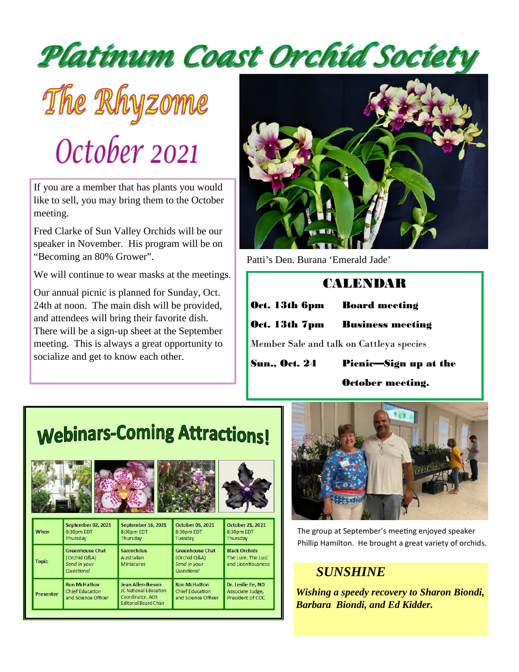# Platinum Coast Orchid Society

The Rhyzome October 2021

If you are a member that has plants you would like to sell, you may bring them to the October meeting.

Fred Clarke of Sun Valley Orchids will be our speaker in November. His program will be on "Becoming an 80% Grower".

We will continue to wear masks at the meetings.

Our annual picnic is planned for Sunday, Oct. 24th at noon. The main dish will be provided, and attendees will bring their favorite dish. There will be a sign-up sheet at the September meeting. This is always a great opportunity to socialize and get to know each other.



Patti's Den. Burana 'Emerald Jade'

#### CALENDAR

| Oct. 13th 6pm | <b>Board meeting</b>                     |  |
|---------------|------------------------------------------|--|
|               | <b>Oct.</b> 13th 7pm Business meeting    |  |
|               | Member Sale and talk on Cattleya species |  |

Sun., Oct. 24 Picnic—Sign up at the

October meeting.

## **Webinars-Coming Attractions!**



| When             | <b>September 02, 2021</b><br>8:30pm EDT<br>Thursdav                  | <b>September 16, 2021</b><br>8:30pm EDT<br>Thursdav                                                   | October 05, 2021<br>8:30pm EDT<br>Tuesday                            | October 21, 2021<br>8:30pm EDT<br>Thursdav                       |
|------------------|----------------------------------------------------------------------|-------------------------------------------------------------------------------------------------------|----------------------------------------------------------------------|------------------------------------------------------------------|
| <b>Topic</b>     | <b>Greenhouse Chat</b><br>(Orchid Q&A)<br>Send in your<br>Questions! | <b>Sarcochilus</b><br>Australian<br><b>Miniatures</b>                                                 | <b>Greenhouse Chat</b><br>(Orchid Q&A)<br>Send in your<br>Questions! | <b>Black Orchids</b><br>The Lure, The Lust<br>and Licentiousness |
| <b>Presenter</b> | <b>Ron McHatton</b><br><b>Chief Education</b><br>and Science Officer | Jean Allen-Ikeson<br><b>JC National Education</b><br>Coordinator, AOS<br><b>Editorial Board Chair</b> | <b>Ron McHatton</b><br><b>Chief Education</b><br>and Science Officer | Dr. Leslie Ee, ND<br>Associate Judge,<br>President of COC        |



The group at September's meeting enjoyed speaker Phillip Hamilton. He brought a great variety of orchids.

## *SUNSHINE*

*Wishing a speedy recovery to Sharon Biondi, Barbara Biondi, and Ed Kidder.*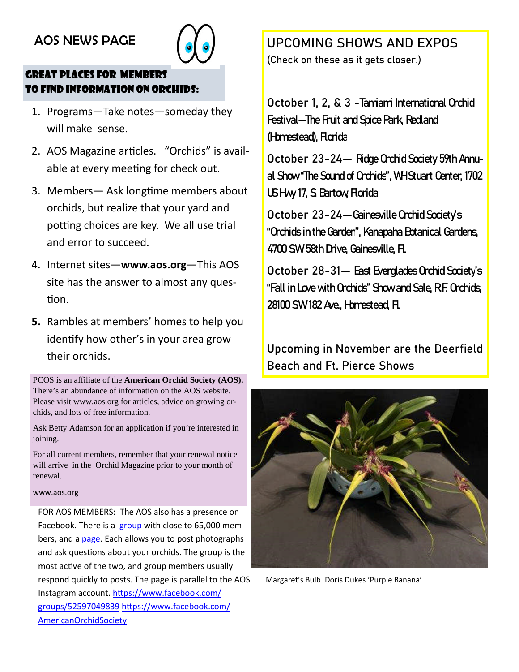## AOS NEWS PAGE



#### GREAT PLACES FOR MEMBERS TO FIND INFORMATION ON ORCHIDS:

- 1. Programs—Take notes—someday they will make sense.
- 2. AOS Magazine articles. "Orchids" is available at every meeting for check out.
- 3. Members— Ask longtime members about orchids, but realize that your yard and potting choices are key. We all use trial and error to succeed.
- 4. Internet sites—**www.aos.org**—This AOS site has the answer to almost any question.
- **5.** Rambles at members' homes to help you identify how other's in your area grow their orchids.

PCOS is an affiliate of the **American Orchid Society (AOS).** There's an abundance of information on the AOS website. Please visit www.aos.org for articles, advice on growing orchids, and lots of free information.

Ask Betty Adamson for an application if you're interested in joining.

For all current members, remember that your renewal notice will arrive in the Orchid Magazine prior to your month of renewal.

#### www.aos.org

FOR AOS MEMBERS: The AOS also has a presence on Facebook. There is a group with close to 65,000 members, and a page. Each allows you to post photographs and ask questions about your orchids. The group is the most active of the two, and group members usually respond quickly to posts. The page is parallel to the AOS Instagram account. https://www.facebook.com/ groups/52597049839 https://www.facebook.com/ AmericanOrchidSociety

#### **UPCOMING SHOWS AND EXPOS (Check on these as it gets closer.)**

**October 1, 2, & 3 -**Tamiami International Orchid Festival—The Fruit and Spice Park, Redland (Homestead), Florida

**October 23-24—** RidgeOrchidSociety59thAnnual Show"The Sound of Orchids", WHStuart Center, 1702 USHwy 17, S. Bartow, Florida

**October 23-24—Gainesville Orchid Society's** "Orchids in the Garden", Kanapaha Botanical Gardens, 4700 SW 58th Drive, Gainesville, FL

October 28-31- East Everglades Orchid Society's "Fall in Love with Orchids" Show and Sale, R.F. Orchids, 28100 SW182 Ave., Homestead, FL

**Upcoming in November are the Deerfield Beach and Ft. Pierce Shows**



Margaret's Bulb. Doris Dukes 'Purple Banana'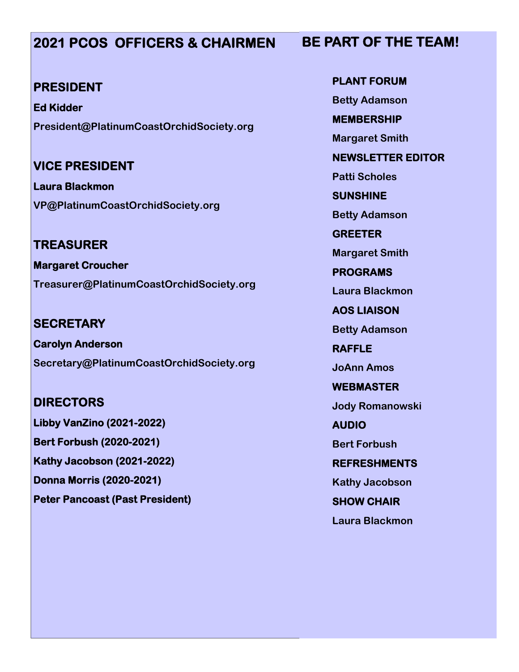## **2021 PCOS OFFICERS & CHAIRMEN**

#### **PRESIDENT**

**Ed Kidder President@PlatinumCoastOrchidSociety.org**

**VICE PRESIDENT**

**Laura Blackmon VP@PlatinumCoastOrchidSociety.org**

**TREASURER Margaret Croucher Treasurer@PlatinumCoastOrchidSociety.org**

**SECRETARY Carolyn Anderson Secretary@PlatinumCoastOrchidSociety.org**

**DIRECTORS Libby VanZino (2021-2022) Bert Forbush (2020-2021) Kathy Jacobson (2021-2022) Donna Morris (2020-2021) Peter Pancoast (Past President)** **PLANT FORUM Betty Adamson MEMBERSHIP Margaret Smith NEWSLETTER EDITOR Patti Scholes SUNSHINE Betty Adamson GREETER Margaret Smith PROGRAMS Laura Blackmon AOS LIAISON Betty Adamson RAFFLE JoAnn Amos WEBMASTER**

**REFRESHMENTS Kathy Jacobson SHOW CHAIR Laura Blackmon**

#### **BE PART OF THE TEAM!**

**Jody Romanowski**

**AUDIO**

**Bert Forbush**